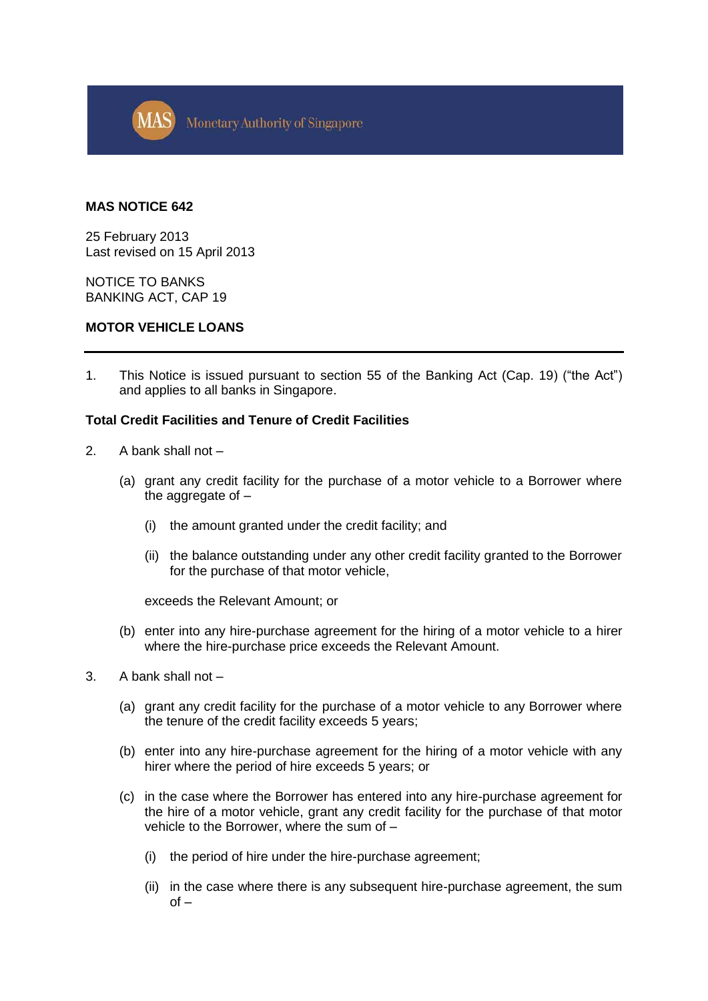

## **MAS NOTICE 642**

25 February 2013 Last revised on 15 April 2013

NOTICE TO BANKS BANKING ACT, CAP 19

### **MOTOR VEHICLE LOANS**

1. This Notice is issued pursuant to section 55 of the Banking Act (Cap. 19) ("the Act") and applies to all banks in Singapore.

### **Total Credit Facilities and Tenure of Credit Facilities**

- 2. A bank shall not
	- (a) grant any credit facility for the purchase of a motor vehicle to a Borrower where the aggregate of –
		- (i) the amount granted under the credit facility; and
		- (ii) the balance outstanding under any other credit facility granted to the Borrower for the purchase of that motor vehicle,

exceeds the Relevant Amount; or

- (b) enter into any hire-purchase agreement for the hiring of a motor vehicle to a hirer where the hire-purchase price exceeds the Relevant Amount.
- 3. A bank shall not
	- (a) grant any credit facility for the purchase of a motor vehicle to any Borrower where the tenure of the credit facility exceeds 5 years;
	- (b) enter into any hire-purchase agreement for the hiring of a motor vehicle with any hirer where the period of hire exceeds 5 years; or
	- (c) in the case where the Borrower has entered into any hire-purchase agreement for the hire of a motor vehicle, grant any credit facility for the purchase of that motor vehicle to the Borrower, where the sum of –
		- (i) the period of hire under the hire-purchase agreement;
		- (ii) in the case where there is any subsequent hire-purchase agreement, the sum  $of -$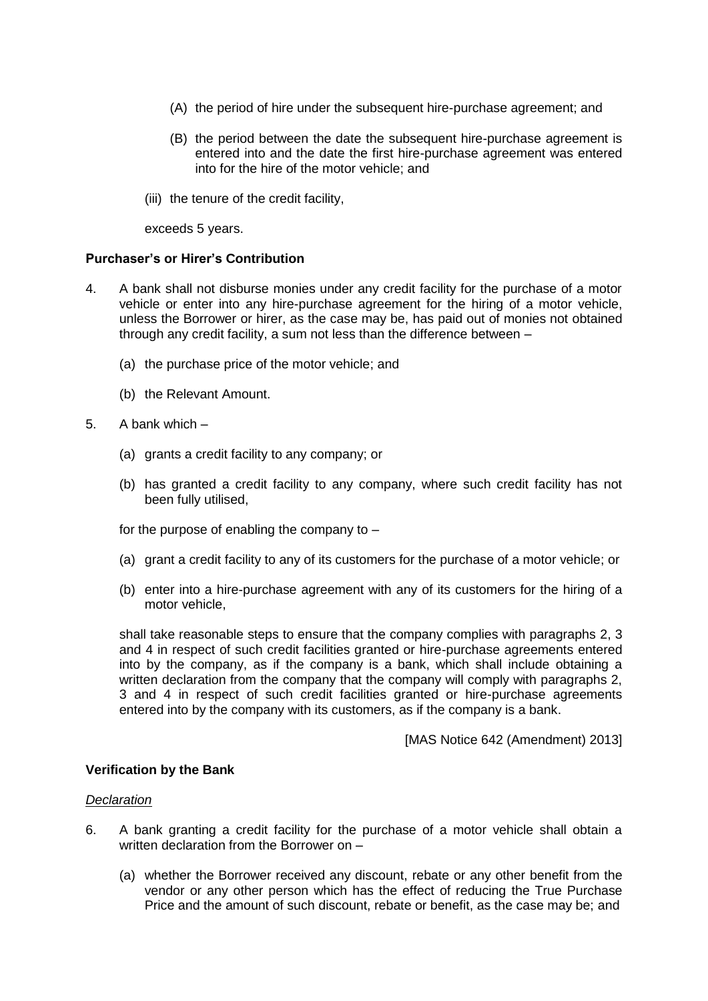- (A) the period of hire under the subsequent hire-purchase agreement; and
- (B) the period between the date the subsequent hire-purchase agreement is entered into and the date the first hire-purchase agreement was entered into for the hire of the motor vehicle; and
- (iii) the tenure of the credit facility,

exceeds 5 years.

# **Purchaser's or Hirer's Contribution**

- 4. A bank shall not disburse monies under any credit facility for the purchase of a motor vehicle or enter into any hire-purchase agreement for the hiring of a motor vehicle, unless the Borrower or hirer, as the case may be, has paid out of monies not obtained through any credit facility, a sum not less than the difference between –
	- (a) the purchase price of the motor vehicle; and
	- (b) the Relevant Amount.
- 5. A bank which
	- (a) grants a credit facility to any company; or
	- (b) has granted a credit facility to any company, where such credit facility has not been fully utilised,

for the purpose of enabling the company to –

- (a) grant a credit facility to any of its customers for the purchase of a motor vehicle; or
- (b) enter into a hire-purchase agreement with any of its customers for the hiring of a motor vehicle,

shall take reasonable steps to ensure that the company complies with paragraphs 2, 3 and 4 in respect of such credit facilities granted or hire-purchase agreements entered into by the company, as if the company is a bank, which shall include obtaining a written declaration from the company that the company will comply with paragraphs 2, 3 and 4 in respect of such credit facilities granted or hire-purchase agreements entered into by the company with its customers, as if the company is a bank.

[MAS Notice 642 (Amendment) 2013]

### **Verification by the Bank**

### *Declaration*

- 6. A bank granting a credit facility for the purchase of a motor vehicle shall obtain a written declaration from the Borrower on –
	- (a) whether the Borrower received any discount, rebate or any other benefit from the vendor or any other person which has the effect of reducing the True Purchase Price and the amount of such discount, rebate or benefit, as the case may be; and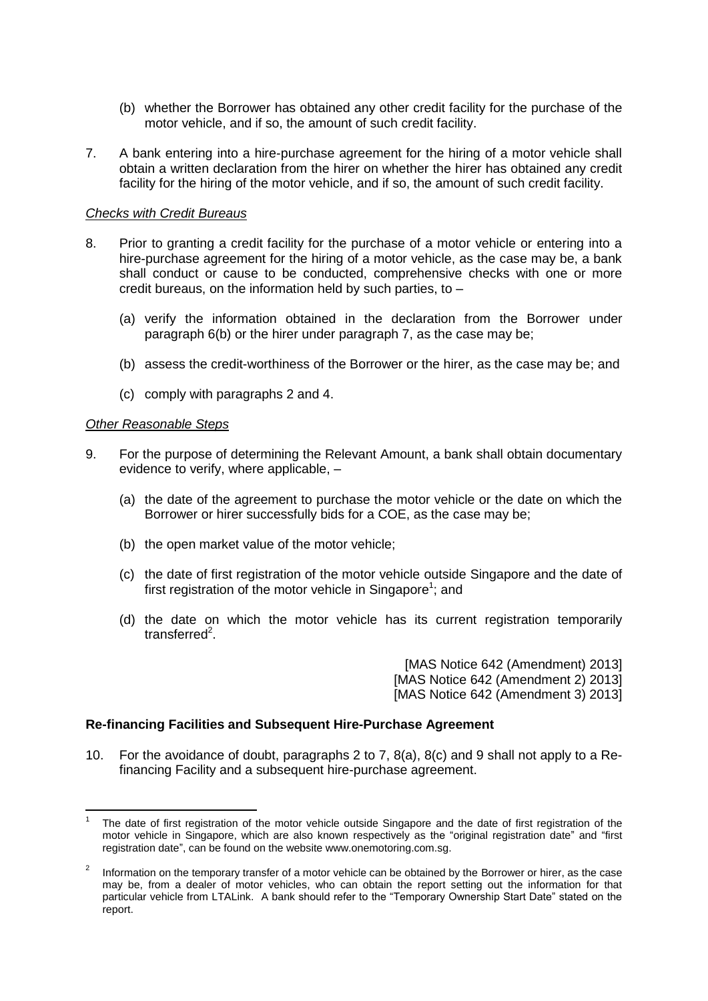- (b) whether the Borrower has obtained any other credit facility for the purchase of the motor vehicle, and if so, the amount of such credit facility.
- 7. A bank entering into a hire-purchase agreement for the hiring of a motor vehicle shall obtain a written declaration from the hirer on whether the hirer has obtained any credit facility for the hiring of the motor vehicle, and if so, the amount of such credit facility.

## *Checks with Credit Bureaus*

- 8. Prior to granting a credit facility for the purchase of a motor vehicle or entering into a hire-purchase agreement for the hiring of a motor vehicle, as the case may be, a bank shall conduct or cause to be conducted, comprehensive checks with one or more credit bureaus, on the information held by such parties, to –
	- (a) verify the information obtained in the declaration from the Borrower under paragraph 6(b) or the hirer under paragraph 7, as the case may be;
	- (b) assess the credit-worthiness of the Borrower or the hirer, as the case may be; and
	- (c) comply with paragraphs 2 and 4.

### *Other Reasonable Steps*

1

- 9. For the purpose of determining the Relevant Amount, a bank shall obtain documentary evidence to verify, where applicable, –
	- (a) the date of the agreement to purchase the motor vehicle or the date on which the Borrower or hirer successfully bids for a COE, as the case may be;
	- (b) the open market value of the motor vehicle;
	- (c) the date of first registration of the motor vehicle outside Singapore and the date of first registration of the motor vehicle in Singapore<sup>1</sup>; and
	- (d) the date on which the motor vehicle has its current registration temporarily transferred<sup>2</sup>.

[MAS Notice 642 (Amendment) 2013] [MAS Notice 642 (Amendment 2) 2013] [MAS Notice 642 (Amendment 3) 2013]

# **Re-financing Facilities and Subsequent Hire-Purchase Agreement**

10. For the avoidance of doubt, paragraphs 2 to 7, 8(a), 8(c) and 9 shall not apply to a Refinancing Facility and a subsequent hire-purchase agreement.

<sup>1</sup> The date of first registration of the motor vehicle outside Singapore and the date of first registration of the motor vehicle in Singapore, which are also known respectively as the "original registration date" and "first registration date", can be found on the website www.onemotoring.com.sg.

<sup>2</sup> Information on the temporary transfer of a motor vehicle can be obtained by the Borrower or hirer, as the case may be, from a dealer of motor vehicles, who can obtain the report setting out the information for that particular vehicle from LTALink. A bank should refer to the "Temporary Ownership Start Date" stated on the report.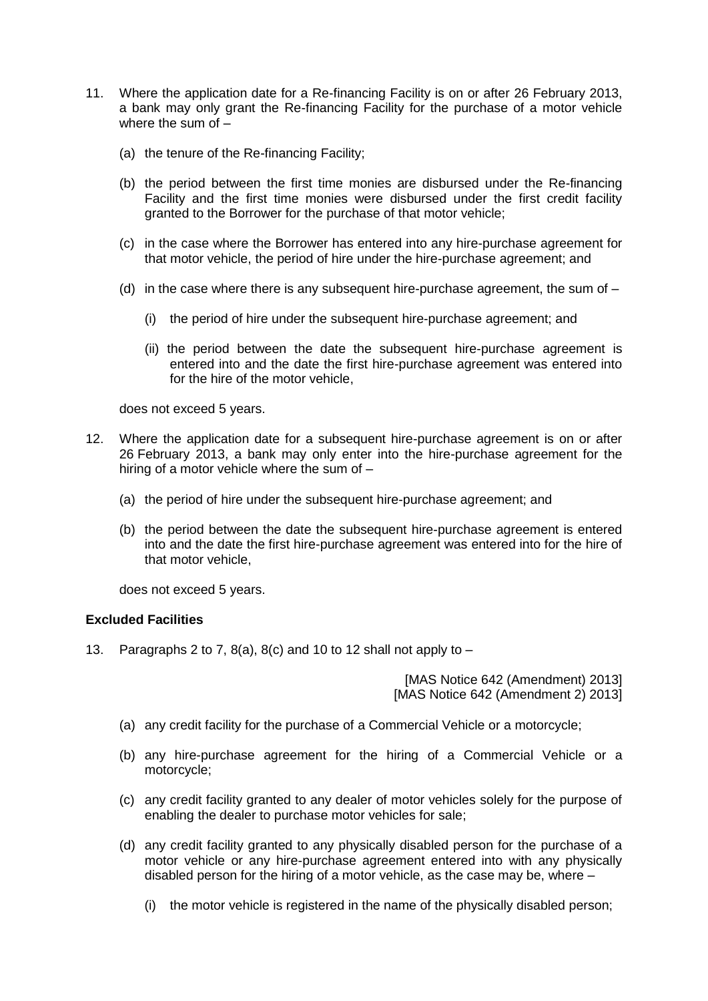- 11. Where the application date for a Re-financing Facility is on or after 26 February 2013, a bank may only grant the Re-financing Facility for the purchase of a motor vehicle where the sum of –
	- (a) the tenure of the Re-financing Facility;
	- (b) the period between the first time monies are disbursed under the Re-financing Facility and the first time monies were disbursed under the first credit facility granted to the Borrower for the purchase of that motor vehicle;
	- (c) in the case where the Borrower has entered into any hire-purchase agreement for that motor vehicle, the period of hire under the hire-purchase agreement; and
	- (d) in the case where there is any subsequent hire-purchase agreement, the sum of
		- (i) the period of hire under the subsequent hire-purchase agreement; and
		- (ii) the period between the date the subsequent hire-purchase agreement is entered into and the date the first hire-purchase agreement was entered into for the hire of the motor vehicle,

does not exceed 5 years.

- 12. Where the application date for a subsequent hire-purchase agreement is on or after 26 February 2013, a bank may only enter into the hire-purchase agreement for the hiring of a motor vehicle where the sum of –
	- (a) the period of hire under the subsequent hire-purchase agreement; and
	- (b) the period between the date the subsequent hire-purchase agreement is entered into and the date the first hire-purchase agreement was entered into for the hire of that motor vehicle,

does not exceed 5 years.

# **Excluded Facilities**

13. Paragraphs 2 to 7,  $8(a)$ ,  $8(c)$  and 10 to 12 shall not apply to  $-$ 

[MAS Notice 642 (Amendment) 2013] [MAS Notice 642 (Amendment 2) 2013]

- (a) any credit facility for the purchase of a Commercial Vehicle or a motorcycle;
- (b) any hire-purchase agreement for the hiring of a Commercial Vehicle or a motorcycle;
- (c) any credit facility granted to any dealer of motor vehicles solely for the purpose of enabling the dealer to purchase motor vehicles for sale;
- (d) any credit facility granted to any physically disabled person for the purchase of a motor vehicle or any hire-purchase agreement entered into with any physically disabled person for the hiring of a motor vehicle, as the case may be, where –
	- (i) the motor vehicle is registered in the name of the physically disabled person;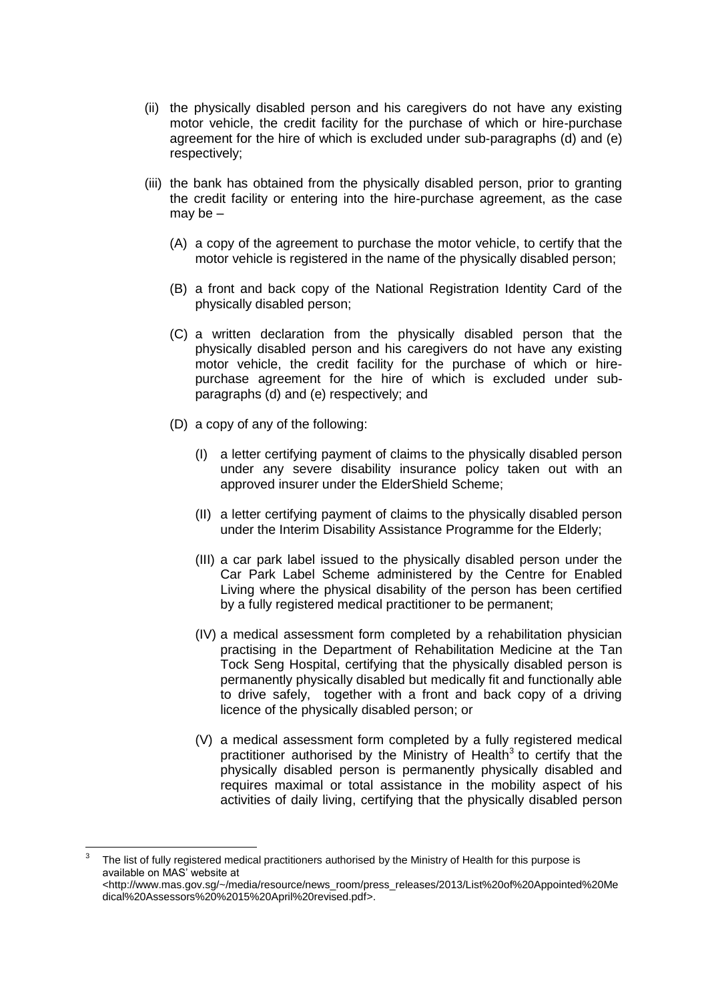- (ii) the physically disabled person and his caregivers do not have any existing motor vehicle, the credit facility for the purchase of which or hire-purchase agreement for the hire of which is excluded under sub-paragraphs (d) and (e) respectively;
- (iii) the bank has obtained from the physically disabled person, prior to granting the credit facility or entering into the hire-purchase agreement, as the case may be $-$ 
	- (A) a copy of the agreement to purchase the motor vehicle, to certify that the motor vehicle is registered in the name of the physically disabled person;
	- (B) a front and back copy of the National Registration Identity Card of the physically disabled person;
	- (C) a written declaration from the physically disabled person that the physically disabled person and his caregivers do not have any existing motor vehicle, the credit facility for the purchase of which or hirepurchase agreement for the hire of which is excluded under subparagraphs (d) and (e) respectively; and
	- (D) a copy of any of the following:
		- (I) a letter certifying payment of claims to the physically disabled person under any severe disability insurance policy taken out with an approved insurer under the ElderShield Scheme;
		- (II) a letter certifying payment of claims to the physically disabled person under the Interim Disability Assistance Programme for the Elderly;
		- (III) a car park label issued to the physically disabled person under the Car Park Label Scheme administered by the Centre for Enabled Living where the physical disability of the person has been certified by a fully registered medical practitioner to be permanent;
		- (IV) a medical assessment form completed by a rehabilitation physician practising in the Department of Rehabilitation Medicine at the Tan Tock Seng Hospital, certifying that the physically disabled person is permanently physically disabled but medically fit and functionally able to drive safely, together with a front and back copy of a driving licence of the physically disabled person; or
		- (V) a medical assessment form completed by a fully registered medical practitioner authorised by the Ministry of Health<sup>3</sup> to certify that the physically disabled person is permanently physically disabled and requires maximal or total assistance in the mobility aspect of his activities of daily living, certifying that the physically disabled person

 $\frac{1}{3}$ The list of fully registered medical practitioners authorised by the Ministry of Health for this purpose is available on MAS' website at <http://www.mas.gov.sg/~/media/resource/news\_room/press\_releases/2013/List%20of%20Appointed%20Me dical%20Assessors%20%2015%20April%20revised.pdf>.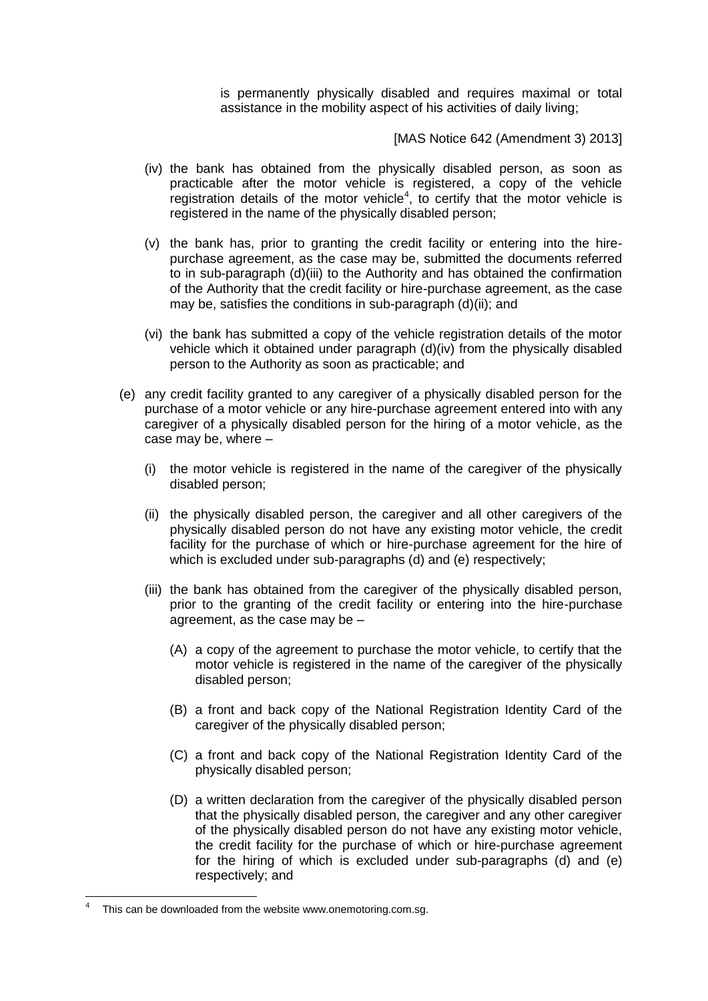is permanently physically disabled and requires maximal or total assistance in the mobility aspect of his activities of daily living;

[MAS Notice 642 (Amendment 3) 2013]

- (iv) the bank has obtained from the physically disabled person, as soon as practicable after the motor vehicle is registered, a copy of the vehicle registration details of the motor vehicle<sup>4</sup>, to certify that the motor vehicle is registered in the name of the physically disabled person;
- (v) the bank has, prior to granting the credit facility or entering into the hirepurchase agreement, as the case may be, submitted the documents referred to in sub-paragraph (d)(iii) to the Authority and has obtained the confirmation of the Authority that the credit facility or hire-purchase agreement, as the case may be, satisfies the conditions in sub-paragraph (d)(ii); and
- (vi) the bank has submitted a copy of the vehicle registration details of the motor vehicle which it obtained under paragraph (d)(iv) from the physically disabled person to the Authority as soon as practicable; and
- (e) any credit facility granted to any caregiver of a physically disabled person for the purchase of a motor vehicle or any hire-purchase agreement entered into with any caregiver of a physically disabled person for the hiring of a motor vehicle, as the case may be, where –
	- (i) the motor vehicle is registered in the name of the caregiver of the physically disabled person;
	- (ii) the physically disabled person, the caregiver and all other caregivers of the physically disabled person do not have any existing motor vehicle, the credit facility for the purchase of which or hire-purchase agreement for the hire of which is excluded under sub-paragraphs (d) and (e) respectively;
	- (iii) the bank has obtained from the caregiver of the physically disabled person, prior to the granting of the credit facility or entering into the hire-purchase agreement, as the case may be –
		- (A) a copy of the agreement to purchase the motor vehicle, to certify that the motor vehicle is registered in the name of the caregiver of the physically disabled person;
		- (B) a front and back copy of the National Registration Identity Card of the caregiver of the physically disabled person;
		- (C) a front and back copy of the National Registration Identity Card of the physically disabled person;
		- (D) a written declaration from the caregiver of the physically disabled person that the physically disabled person, the caregiver and any other caregiver of the physically disabled person do not have any existing motor vehicle, the credit facility for the purchase of which or hire-purchase agreement for the hiring of which is excluded under sub-paragraphs (d) and (e) respectively; and

1

<sup>4</sup> This can be downloaded from the website www.onemotoring.com.sg.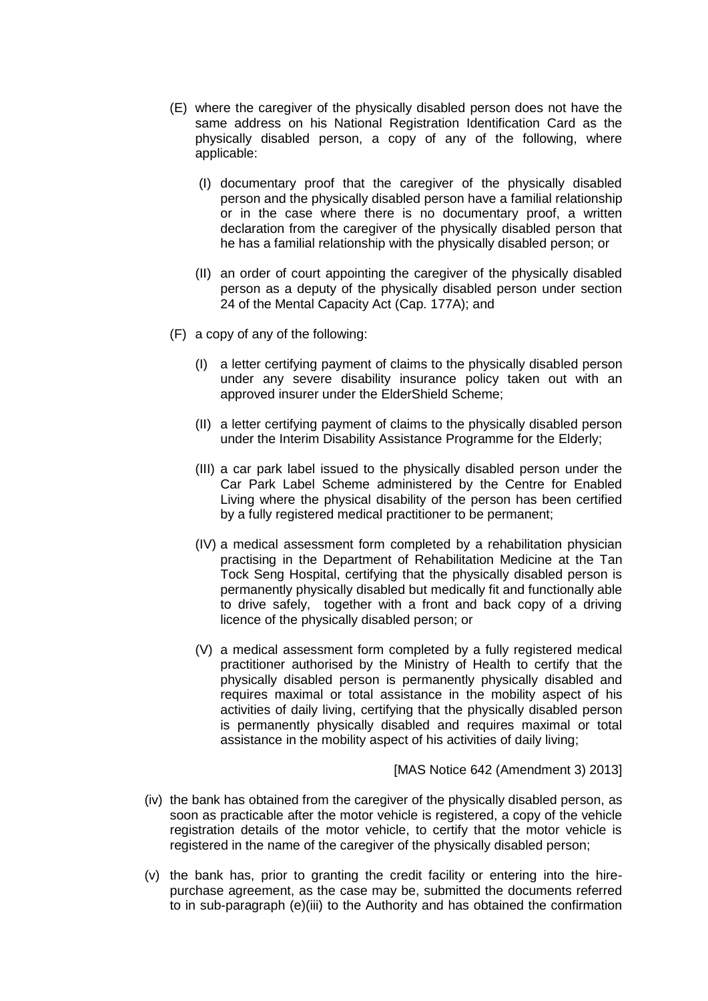- (E) where the caregiver of the physically disabled person does not have the same address on his National Registration Identification Card as the physically disabled person, a copy of any of the following, where applicable:
	- (I) documentary proof that the caregiver of the physically disabled person and the physically disabled person have a familial relationship or in the case where there is no documentary proof, a written declaration from the caregiver of the physically disabled person that he has a familial relationship with the physically disabled person; or
	- (II) an order of court appointing the caregiver of the physically disabled person as a deputy of the physically disabled person under section 24 of the Mental Capacity Act (Cap. 177A); and
- (F) a copy of any of the following:
	- (I) a letter certifying payment of claims to the physically disabled person under any severe disability insurance policy taken out with an approved insurer under the ElderShield Scheme;
	- (II) a letter certifying payment of claims to the physically disabled person under the Interim Disability Assistance Programme for the Elderly;
	- (III) a car park label issued to the physically disabled person under the Car Park Label Scheme administered by the Centre for Enabled Living where the physical disability of the person has been certified by a fully registered medical practitioner to be permanent;
	- (IV) a medical assessment form completed by a rehabilitation physician practising in the Department of Rehabilitation Medicine at the Tan Tock Seng Hospital, certifying that the physically disabled person is permanently physically disabled but medically fit and functionally able to drive safely, together with a front and back copy of a driving licence of the physically disabled person; or
	- (V) a medical assessment form completed by a fully registered medical practitioner authorised by the Ministry of Health to certify that the physically disabled person is permanently physically disabled and requires maximal or total assistance in the mobility aspect of his activities of daily living, certifying that the physically disabled person is permanently physically disabled and requires maximal or total assistance in the mobility aspect of his activities of daily living;

[MAS Notice 642 (Amendment 3) 2013]

- (iv) the bank has obtained from the caregiver of the physically disabled person, as soon as practicable after the motor vehicle is registered, a copy of the vehicle registration details of the motor vehicle, to certify that the motor vehicle is registered in the name of the caregiver of the physically disabled person;
- (v) the bank has, prior to granting the credit facility or entering into the hirepurchase agreement, as the case may be, submitted the documents referred to in sub-paragraph (e)(iii) to the Authority and has obtained the confirmation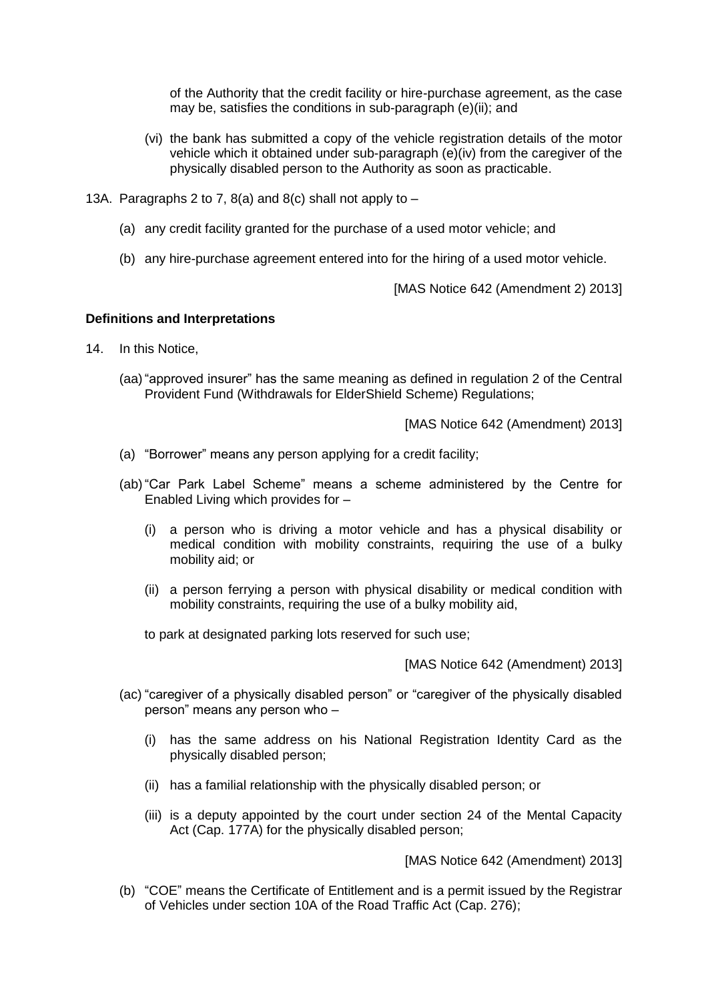of the Authority that the credit facility or hire-purchase agreement, as the case may be, satisfies the conditions in sub-paragraph (e)(ii); and

- (vi) the bank has submitted a copy of the vehicle registration details of the motor vehicle which it obtained under sub-paragraph (e)(iv) from the caregiver of the physically disabled person to the Authority as soon as practicable.
- 13A. Paragraphs 2 to 7,  $8(a)$  and  $8(c)$  shall not apply to  $-$ 
	- (a) any credit facility granted for the purchase of a used motor vehicle; and
	- (b) any hire-purchase agreement entered into for the hiring of a used motor vehicle.

[MAS Notice 642 (Amendment 2) 2013]

### **Definitions and Interpretations**

- 14. In this Notice,
	- (aa)"approved insurer" has the same meaning as defined in regulation 2 of the Central Provident Fund (Withdrawals for ElderShield Scheme) Regulations;

[MAS Notice 642 (Amendment) 2013]

- (a) "Borrower" means any person applying for a credit facility;
- (ab)"Car Park Label Scheme" means a scheme administered by the Centre for Enabled Living which provides for –
	- (i) a person who is driving a motor vehicle and has a physical disability or medical condition with mobility constraints, requiring the use of a bulky mobility aid; or
	- (ii) a person ferrying a person with physical disability or medical condition with mobility constraints, requiring the use of a bulky mobility aid,

to park at designated parking lots reserved for such use;

[MAS Notice 642 (Amendment) 2013]

- (ac) "caregiver of a physically disabled person" or "caregiver of the physically disabled person" means any person who –
	- (i) has the same address on his National Registration Identity Card as the physically disabled person;
	- (ii) has a familial relationship with the physically disabled person; or
	- (iii) is a deputy appointed by the court under section 24 of the Mental Capacity Act (Cap. 177A) for the physically disabled person;

[MAS Notice 642 (Amendment) 2013]

(b) "COE" means the Certificate of Entitlement and is a permit issued by the Registrar of Vehicles under section 10A of the Road Traffic Act (Cap. 276);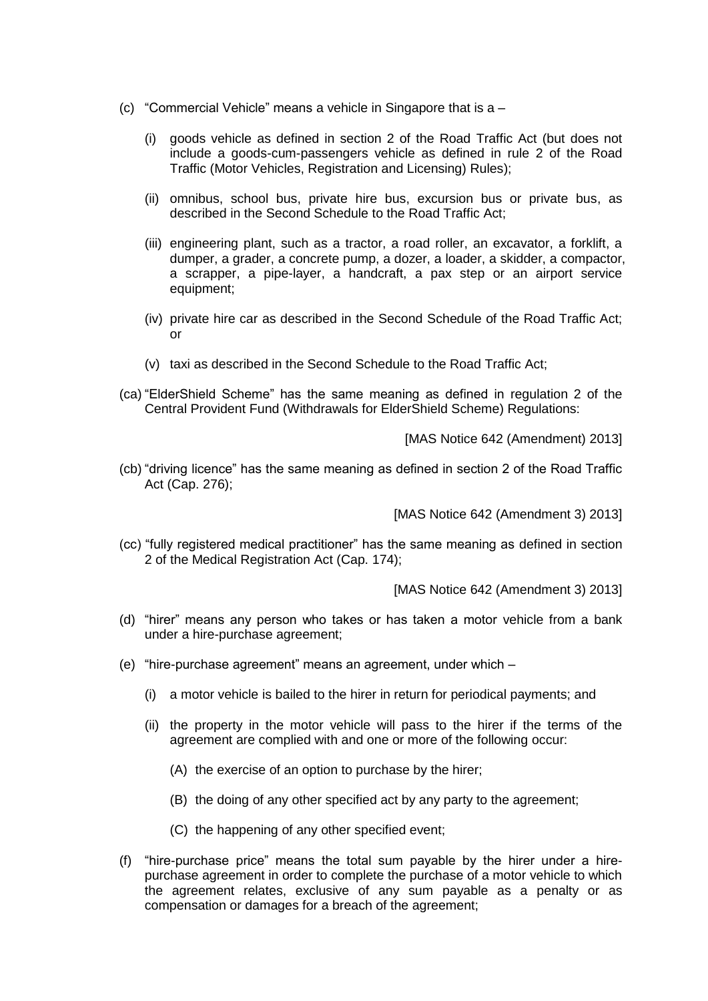- (c) "Commercial Vehicle" means a vehicle in Singapore that is a
	- (i) goods vehicle as defined in section 2 of the Road Traffic Act (but does not include a goods-cum-passengers vehicle as defined in rule 2 of the Road Traffic (Motor Vehicles, Registration and Licensing) Rules);
	- (ii) omnibus, school bus, private hire bus, excursion bus or private bus, as described in the Second Schedule to the Road Traffic Act;
	- (iii) engineering plant, such as a tractor, a road roller, an excavator, a forklift, a dumper, a grader, a concrete pump, a dozer, a loader, a skidder, a compactor, a scrapper, a pipe-layer, a handcraft, a pax step or an airport service equipment;
	- (iv) private hire car as described in the Second Schedule of the Road Traffic Act; or
	- (v) taxi as described in the Second Schedule to the Road Traffic Act;
- (ca) "ElderShield Scheme" has the same meaning as defined in regulation 2 of the Central Provident Fund (Withdrawals for ElderShield Scheme) Regulations:

[MAS Notice 642 (Amendment) 2013]

(cb) "driving licence" has the same meaning as defined in section 2 of the Road Traffic Act (Cap. 276);

[MAS Notice 642 (Amendment 3) 2013]

(cc) "fully registered medical practitioner" has the same meaning as defined in section 2 of the Medical Registration Act (Cap. 174);

[MAS Notice 642 (Amendment 3) 2013]

- (d) "hirer" means any person who takes or has taken a motor vehicle from a bank under a hire-purchase agreement;
- (e) "hire-purchase agreement" means an agreement, under which
	- (i) a motor vehicle is bailed to the hirer in return for periodical payments; and
	- (ii) the property in the motor vehicle will pass to the hirer if the terms of the agreement are complied with and one or more of the following occur:
		- (A) the exercise of an option to purchase by the hirer;
		- (B) the doing of any other specified act by any party to the agreement;
		- (C) the happening of any other specified event;
- (f) "hire-purchase price" means the total sum payable by the hirer under a hirepurchase agreement in order to complete the purchase of a motor vehicle to which the agreement relates, exclusive of any sum payable as a penalty or as compensation or damages for a breach of the agreement;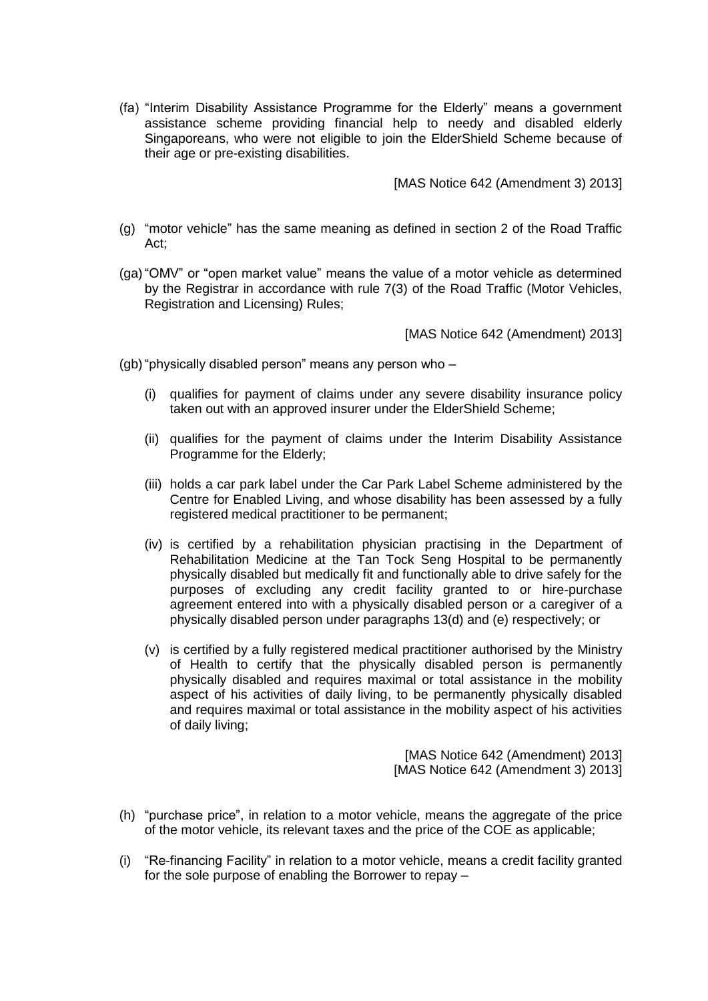(fa) "Interim Disability Assistance Programme for the Elderly" means a government assistance scheme providing financial help to needy and disabled elderly Singaporeans, who were not eligible to join the ElderShield Scheme because of their age or pre-existing disabilities.

[MAS Notice 642 (Amendment 3) 2013]

- (g) "motor vehicle" has the same meaning as defined in section 2 of the Road Traffic Act;
- (ga)"OMV" or "open market value" means the value of a motor vehicle as determined by the Registrar in accordance with rule 7(3) of the Road Traffic (Motor Vehicles, Registration and Licensing) Rules;

[MAS Notice 642 (Amendment) 2013]

(gb)"physically disabled person" means any person who –

- (i) qualifies for payment of claims under any severe disability insurance policy taken out with an approved insurer under the ElderShield Scheme;
- (ii) qualifies for the payment of claims under the Interim Disability Assistance Programme for the Elderly;
- (iii) holds a car park label under the Car Park Label Scheme administered by the Centre for Enabled Living, and whose disability has been assessed by a fully registered medical practitioner to be permanent;
- (iv) is certified by a rehabilitation physician practising in the Department of Rehabilitation Medicine at the Tan Tock Seng Hospital to be permanently physically disabled but medically fit and functionally able to drive safely for the purposes of excluding any credit facility granted to or hire-purchase agreement entered into with a physically disabled person or a caregiver of a physically disabled person under paragraphs 13(d) and (e) respectively; or
- (v) is certified by a fully registered medical practitioner authorised by the Ministry of Health to certify that the physically disabled person is permanently physically disabled and requires maximal or total assistance in the mobility aspect of his activities of daily living, to be permanently physically disabled and requires maximal or total assistance in the mobility aspect of his activities of daily living;

[MAS Notice 642 (Amendment) 2013] [MAS Notice 642 (Amendment 3) 2013]

- (h) "purchase price", in relation to a motor vehicle, means the aggregate of the price of the motor vehicle, its relevant taxes and the price of the COE as applicable;
- (i) "Re-financing Facility" in relation to a motor vehicle, means a credit facility granted for the sole purpose of enabling the Borrower to repay –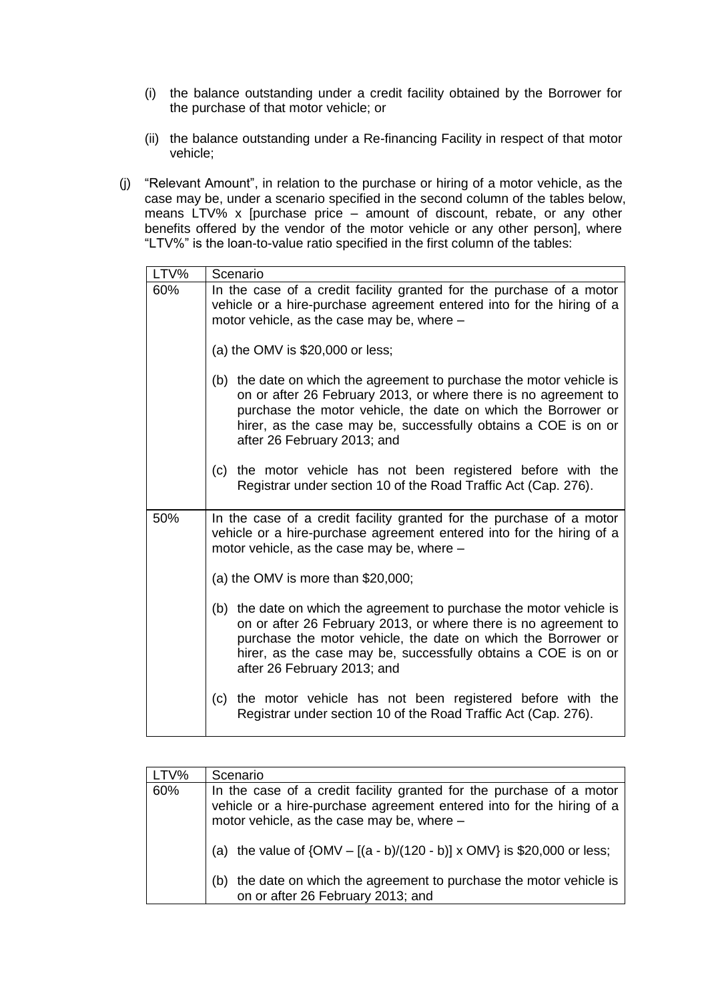- (i) the balance outstanding under a credit facility obtained by the Borrower for the purchase of that motor vehicle; or
- (ii) the balance outstanding under a Re-financing Facility in respect of that motor vehicle;
- (j) "Relevant Amount", in relation to the purchase or hiring of a motor vehicle, as the case may be, under a scenario specified in the second column of the tables below, means LTV% x [purchase price – amount of discount, rebate, or any other benefits offered by the vendor of the motor vehicle or any other person], where "LTV%" is the loan-to-value ratio specified in the first column of the tables:

| LTV% | Scenario                                                                                                                                                                                                                                                                                                  |
|------|-----------------------------------------------------------------------------------------------------------------------------------------------------------------------------------------------------------------------------------------------------------------------------------------------------------|
| 60%  | In the case of a credit facility granted for the purchase of a motor<br>vehicle or a hire-purchase agreement entered into for the hiring of a<br>motor vehicle, as the case may be, where -                                                                                                               |
|      | (a) the OMV is $$20,000$ or less;                                                                                                                                                                                                                                                                         |
|      | (b) the date on which the agreement to purchase the motor vehicle is<br>on or after 26 February 2013, or where there is no agreement to<br>purchase the motor vehicle, the date on which the Borrower or<br>hirer, as the case may be, successfully obtains a COE is on or<br>after 26 February 2013; and |
|      | the motor vehicle has not been registered before with the<br>(c)<br>Registrar under section 10 of the Road Traffic Act (Cap. 276).                                                                                                                                                                        |
| 50%  | In the case of a credit facility granted for the purchase of a motor<br>vehicle or a hire-purchase agreement entered into for the hiring of a<br>motor vehicle, as the case may be, where -                                                                                                               |
|      | (a) the OMV is more than $$20,000$ ;                                                                                                                                                                                                                                                                      |
|      | (b) the date on which the agreement to purchase the motor vehicle is<br>on or after 26 February 2013, or where there is no agreement to<br>purchase the motor vehicle, the date on which the Borrower or<br>hirer, as the case may be, successfully obtains a COE is on or<br>after 26 February 2013; and |
|      | the motor vehicle has not been registered before with the<br>(c)<br>Registrar under section 10 of the Road Traffic Act (Cap. 276).                                                                                                                                                                        |

| LTV% | Scenario                                                                                                                                                                                    |
|------|---------------------------------------------------------------------------------------------------------------------------------------------------------------------------------------------|
| 60%  | In the case of a credit facility granted for the purchase of a motor<br>vehicle or a hire-purchase agreement entered into for the hiring of a<br>motor vehicle, as the case may be, where - |
|      | the value of $\{OMV - [(a - b)/(120 - b)] \times OMV\}$ is \$20,000 or less;<br>(a)                                                                                                         |
|      | the date on which the agreement to purchase the motor vehicle is<br>(b)<br>on or after 26 February 2013; and                                                                                |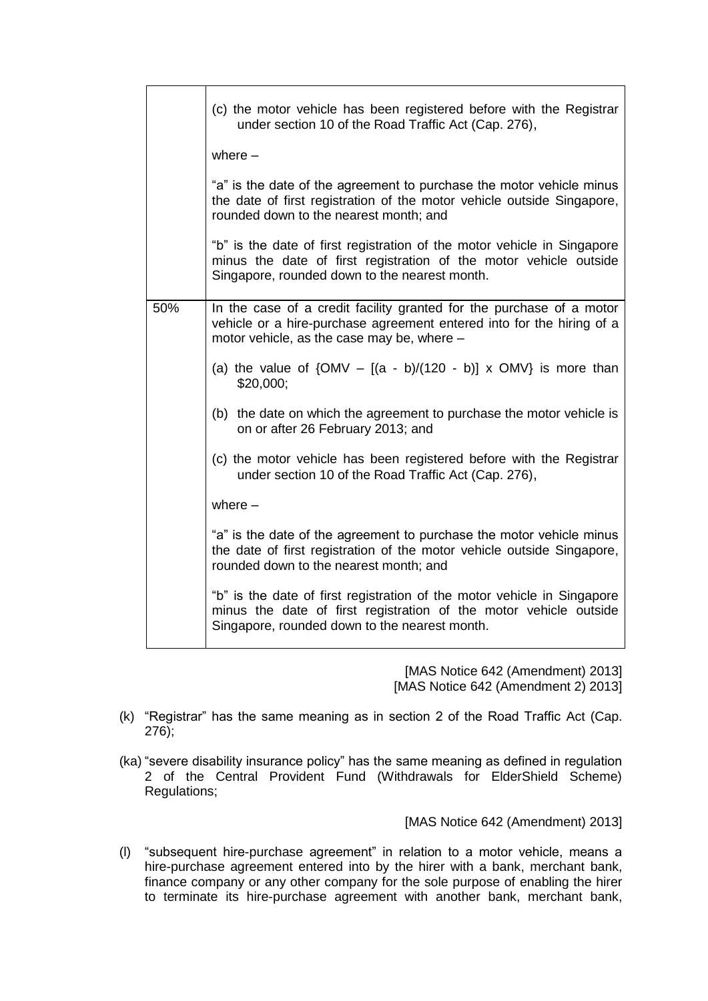|     | (c) the motor vehicle has been registered before with the Registrar<br>under section 10 of the Road Traffic Act (Cap. 276),                                                                   |
|-----|-----------------------------------------------------------------------------------------------------------------------------------------------------------------------------------------------|
|     | where $-$                                                                                                                                                                                     |
|     | "a" is the date of the agreement to purchase the motor vehicle minus<br>the date of first registration of the motor vehicle outside Singapore,<br>rounded down to the nearest month; and      |
|     | "b" is the date of first registration of the motor vehicle in Singapore<br>minus the date of first registration of the motor vehicle outside<br>Singapore, rounded down to the nearest month. |
| 50% | In the case of a credit facility granted for the purchase of a motor<br>vehicle or a hire-purchase agreement entered into for the hiring of a<br>motor vehicle, as the case may be, where -   |
|     | (a) the value of $\{OMV - [(a - b)/(120 - b)] \times OMV\}$ is more than<br>\$20,000;                                                                                                         |
|     | (b) the date on which the agreement to purchase the motor vehicle is<br>on or after 26 February 2013; and                                                                                     |
|     | (c) the motor vehicle has been registered before with the Registrar<br>under section 10 of the Road Traffic Act (Cap. 276),                                                                   |
|     | where $-$                                                                                                                                                                                     |
|     | "a" is the date of the agreement to purchase the motor vehicle minus<br>the date of first registration of the motor vehicle outside Singapore,<br>rounded down to the nearest month; and      |
|     | "b" is the date of first registration of the motor vehicle in Singapore<br>minus the date of first registration of the motor vehicle outside<br>Singapore, rounded down to the nearest month. |

[MAS Notice 642 (Amendment) 2013] [MAS Notice 642 (Amendment 2) 2013]

- (k) "Registrar" has the same meaning as in section 2 of the Road Traffic Act (Cap. 276);
- (ka) "severe disability insurance policy" has the same meaning as defined in regulation 2 of the Central Provident Fund (Withdrawals for ElderShield Scheme) Regulations;

[MAS Notice 642 (Amendment) 2013]

(l) "subsequent hire-purchase agreement" in relation to a motor vehicle, means a hire-purchase agreement entered into by the hirer with a bank, merchant bank, finance company or any other company for the sole purpose of enabling the hirer to terminate its hire-purchase agreement with another bank, merchant bank,